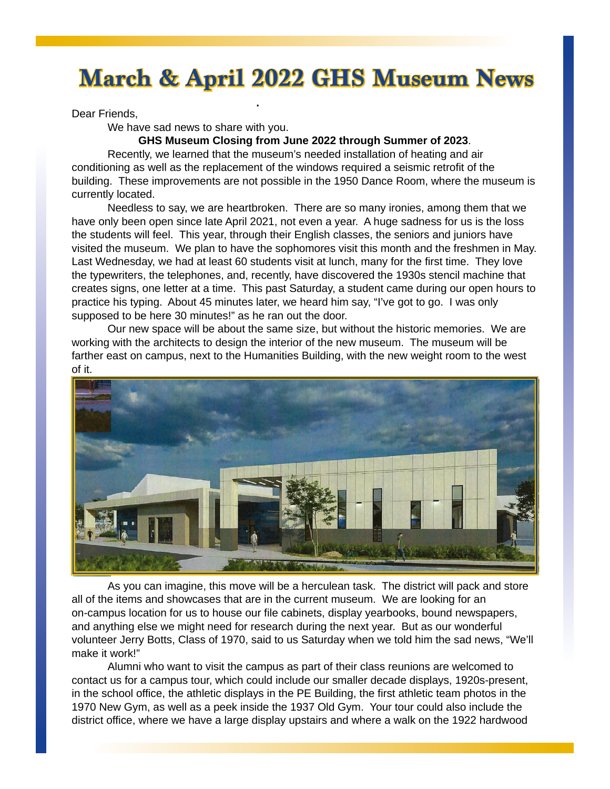# **March & April 2022 GHS Museum News**

**March & April 2022 GHS Museum News**

Dear Friends,

We have sad news to share with you.

**GHS Museum Closing from June 2022 through Summer of 2023**.

Recently, we learned that the museum's needed installation of heating and air conditioning as well as the replacement of the windows required a seismic retrofit of the building. These improvements are not possible in the 1950 Dance Room, where the museum is currently located.

Needless to say, we are heartbroken. There are so many ironies, among them that we have only been open since late April 2021, not even a year. A huge sadness for us is the loss the students will feel. This year, through their English classes, the seniors and juniors have visited the museum. We plan to have the sophomores visit this month and the freshmen in May. Last Wednesday, we had at least 60 students visit at lunch, many for the first time. They love the typewriters, the telephones, and, recently, have discovered the 1930s stencil machine that creates signs, one letter at a time. This past Saturday, a student came during our open hours to practice his typing. About 45 minutes later, we heard him say, "I've got to go. I was only supposed to be here 30 minutes!" as he ran out the door.

Our new space will be about the same size, but without the historic memories. We are working with the architects to design the interior of the new museum. The museum will be farther east on campus, next to the Humanities Building, with the new weight room to the west of it.



As you can imagine, this move will be a herculean task. The district will pack and store all of the items and showcases that are in the current museum. We are looking for an on-campus location for us to house our file cabinets, display yearbooks, bound newspapers, and anything else we might need for research during the next year. But as our wonderful volunteer Jerry Botts, Class of 1970, said to us Saturday when we told him the sad news, "We'll make it work!"

Alumni who want to visit the campus as part of their class reunions are welcomed to contact us for a campus tour, which could include our smaller decade displays, 1920s-present, in the school office, the athletic displays in the PE Building, the first athletic team photos in the 1970 New Gym, as well as a peek inside the 1937 Old Gym. Your tour could also include the district office, where we have a large display upstairs and where a walk on the 1922 hardwood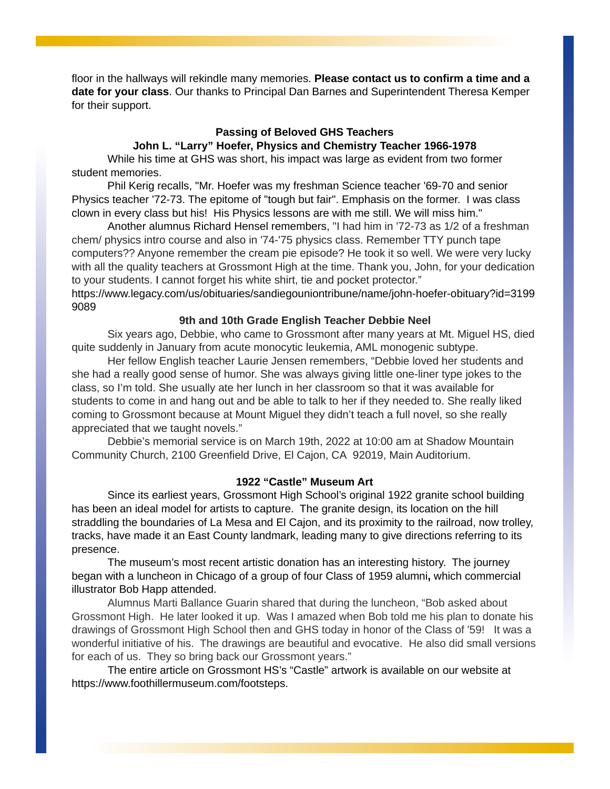floor in the hallways will rekindle many memories. **Please contact us to confirm a time and a date for your class**. Our thanks to Principal Dan Barnes and Superintendent Theresa Kemper for their support.

## **Passing of Beloved GHS Teachers**

**John L. "Larry" Hoefer, Physics and Chemistry Teacher 1966-1978**

While his time at GHS was short, his impact was large as evident from two former student memories.

Phil Kerig recalls, "Mr. Hoefer was my freshman Science teacher '69-70 and senior Physics teacher '72-73. The epitome of "tough but fair". Emphasis on the former. I was class clown in every class but his! His Physics lessons are with me still. We will miss him."

Another alumnus Richard Hensel remembers, "I had him in '72-73 as 1/2 of a freshman chem/ physics intro course and also in '74-'75 physics class. Remember TTY punch tape computers?? Anyone remember the cream pie episode? He took it so well. We were very lucky with all the quality teachers at Grossmont High at the time. Thank you, John, for your dedication to your students. I cannot forget his white shirt, tie and pocket protector."

https://www.legacy.com/us/obituaries/sandiegouniontribune/name/john-hoefer-obituary?id=3199 9089

#### **9th and 10th Grade English Teacher Debbie Neel**

Six years ago, Debbie, who came to Grossmont after many years at Mt. Miguel HS, died quite suddenly in January from acute monocytic leukemia, AML monogenic subtype.

Her fellow English teacher Laurie Jensen remembers, "Debbie loved her students and she had a really good sense of humor. She was always giving little one-liner type jokes to the class, so I'm told. She usually ate her lunch in her classroom so that it was available for students to come in and hang out and be able to talk to her if they needed to. She really liked coming to Grossmont because at Mount Miguel they didn't teach a full novel, so she really appreciated that we taught novels."

Debbie's memorial service is on March 19th, 2022 at 10:00 am at Shadow Mountain Community Church, 2100 Greenfield Drive, El Cajon, CA 92019, Main Auditorium.

#### **1922 "Castle" Museum Art**

Since its earliest years, Grossmont High School's original 1922 granite school building has been an ideal model for artists to capture. The granite design, its location on the hill straddling the boundaries of La Mesa and El Cajon, and its proximity to the railroad, now trolley, tracks, have made it an East County landmark, leading many to give directions referring to its presence.

The museum's most recent artistic donation has an interesting history. The journey began with a luncheon in Chicago of a group of four Class of 1959 alumni**,** which commercial illustrator Bob Happ attended.

Alumnus Marti Ballance Guarin shared that during the luncheon, "Bob asked about Grossmont High. He later looked it up. Was I amazed when Bob told me his plan to donate his drawings of Grossmont High School then and GHS today in honor of the Class of '59! It was a wonderful initiative of his. The drawings are beautiful and evocative. He also did small versions for each of us. They so bring back our Grossmont years."

The entire article on Grossmont HS's "Castle" artwork is available on our website at https://www.foothillermuseum.com/footsteps.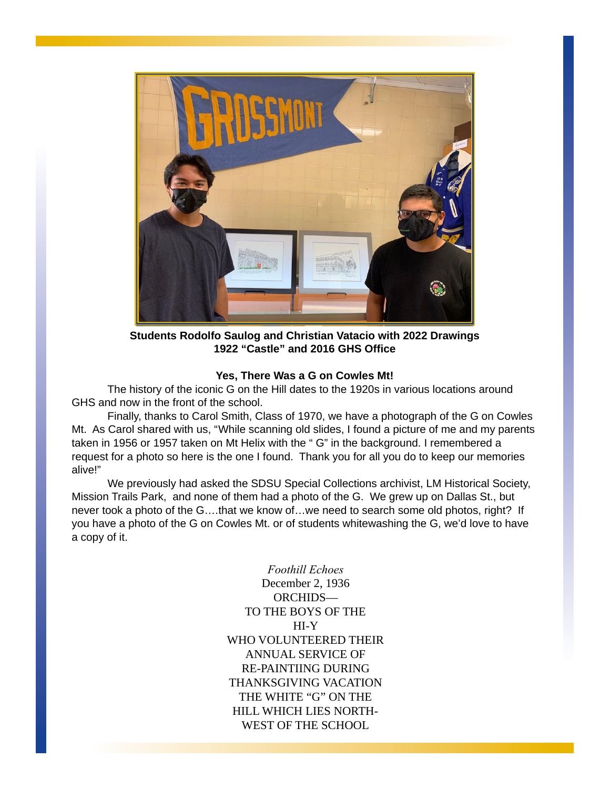

**Students Rodolfo Saulog and Christian Vatacio with 2022 Drawings 1922 "Castle" and 2016 GHS Office**

## **Yes, There Was a G on Cowles Mt!**

The history of the iconic G on the Hill dates to the 1920s in various locations around GHS and now in the front of the school.

Finally, thanks to Carol Smith, Class of 1970, we have a photograph of the G on Cowles Mt. As Carol shared with us, "While scanning old slides, I found a picture of me and my parents taken in 1956 or 1957 taken on Mt Helix with the " G" in the background. I remembered a request for a photo so here is the one I found. Thank you for all you do to keep our memories alive!"

We previously had asked the SDSU Special Collections archivist, LM Historical Society, Mission Trails Park, and none of them had a photo of the G. We grew up on Dallas St., but never took a photo of the G….that we know of…we need to search some old photos, right? If you have a photo of the G on Cowles Mt. or of students whitewashing the G, we'd love to have a copy of it.

> *Foothill Echoes* December 2, 1936 ORCHIDS— TO THE BOYS OF THE HI-Y WHO VOLUNTEERED THEIR ANNUAL SERVICE OF RE-PAINTIING DURING THANKSGIVING VACATION THE WHITE "G" ON THE HILL WHICH LIES NORTH-WEST OF THE SCHOOL.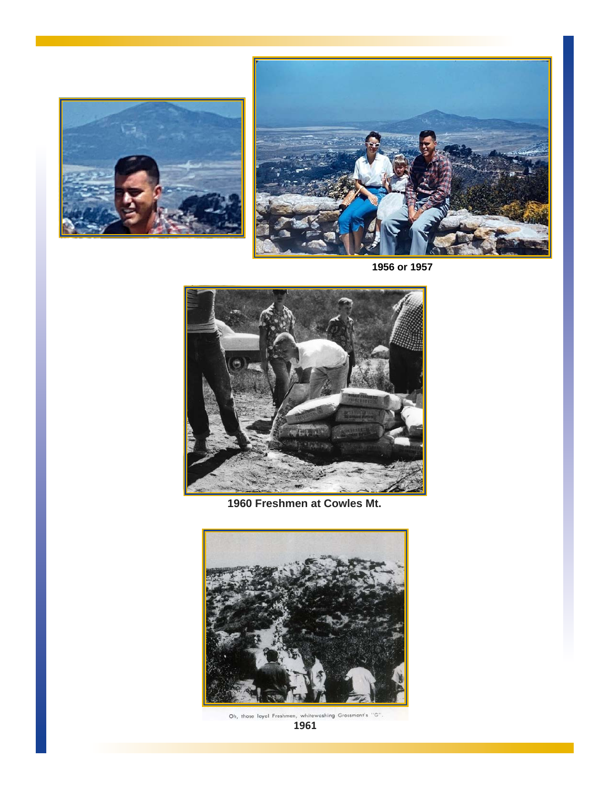



TO THE BOYS OF THE

December 2, 1936



**1960 Freshmen at Cowles Mt.**



Oh, those layal Freshmen, whitewashing Grossmont's "G".<br>**1961**